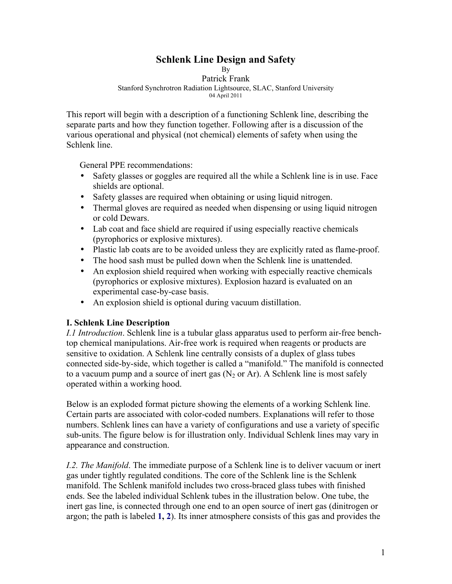# **Schlenk Line Design and Safety**

By Patrick Frank Stanford Synchrotron Radiation Lightsource, SLAC, Stanford University 04 April 2011

This report will begin with a description of a functioning Schlenk line, describing the separate parts and how they function together. Following after is a discussion of the various operational and physical (not chemical) elements of safety when using the Schlenk line.

General PPE recommendations:

- Safety glasses or goggles are required all the while a Schlenk line is in use. Face shields are optional.
- Safety glasses are required when obtaining or using liquid nitrogen.
- Thermal gloves are required as needed when dispensing or using liquid nitrogen or cold Dewars.
- Lab coat and face shield are required if using especially reactive chemicals (pyrophorics or explosive mixtures).
- Plastic lab coats are to be avoided unless they are explicitly rated as flame-proof.
- The hood sash must be pulled down when the Schlenk line is unattended.
- An explosion shield required when working with especially reactive chemicals (pyrophorics or explosive mixtures). Explosion hazard is evaluated on an experimental case-by-case basis.
- An explosion shield is optional during vacuum distillation.

# **I. Schlenk Line Description**

*I.1 Introduction*. Schlenk line is a tubular glass apparatus used to perform air-free benchtop chemical manipulations. Air-free work is required when reagents or products are sensitive to oxidation. A Schlenk line centrally consists of a duplex of glass tubes connected side-by-side, which together is called a "manifold." The manifold is connected to a vacuum pump and a source of inert gas  $(N_2$  or Ar). A Schlenk line is most safely operated within a working hood.

Below is an exploded format picture showing the elements of a working Schlenk line. Certain parts are associated with color-coded numbers. Explanations will refer to those numbers. Schlenk lines can have a variety of configurations and use a variety of specific sub-units. The figure below is for illustration only. Individual Schlenk lines may vary in appearance and construction.

*I.2. The Manifold*. The immediate purpose of a Schlenk line is to deliver vacuum or inert gas under tightly regulated conditions. The core of the Schlenk line is the Schlenk manifold. The Schlenk manifold includes two cross-braced glass tubes with finished ends. See the labeled individual Schlenk tubes in the illustration below. One tube, the inert gas line, is connected through one end to an open source of inert gas (dinitrogen or argon; the path is labeled **1, 2**). Its inner atmosphere consists of this gas and provides the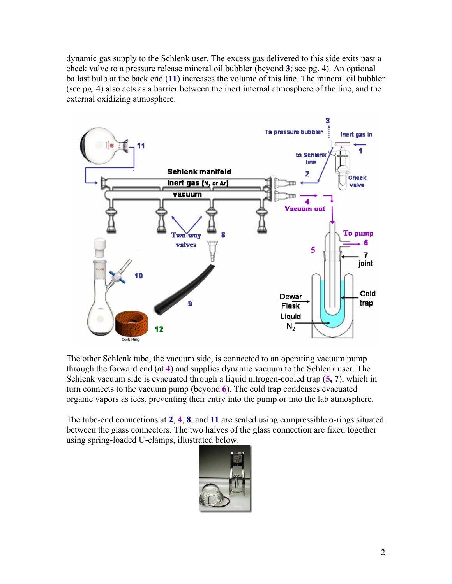dynamic gas supply to the Schlenk user. The excess gas delivered to this side exits past a check valve to a pressure release mineral oil bubbler (beyond **3**; see pg. 4). An optional ballast bulb at the back end (**11**) increases the volume of this line. The mineral oil bubbler (see pg. 4) also acts as a barrier between the inert internal atmosphere of the line, and the external oxidizing atmosphere.



The other Schlenk tube, the vacuum side, is connected to an operating vacuum pump through the forward end (at **4**) and supplies dynamic vacuum to the Schlenk user. The Schlenk vacuum side is evacuated through a liquid nitrogen-cooled trap (**5, 7**), which in turn connects to the vacuum pump (beyond **6**). The cold trap condenses evacuated organic vapors as ices, preventing their entry into the pump or into the lab atmosphere.

The tube-end connections at **2**, **4**, **8**, and **11** are sealed using compressible o-rings situated between the glass connectors. The two halves of the glass connection are fixed together using spring-loaded U-clamps, illustrated below.

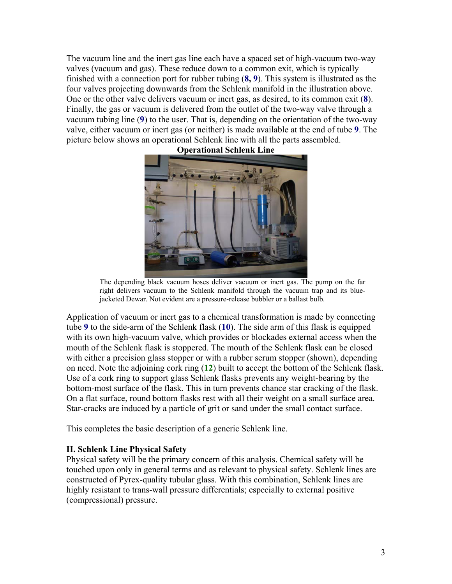The vacuum line and the inert gas line each have a spaced set of high-vacuum two-way valves (vacuum and gas). These reduce down to a common exit, which is typically finished with a connection port for rubber tubing (**8, 9**). This system is illustrated as the four valves projecting downwards from the Schlenk manifold in the illustration above. One or the other valve delivers vacuum or inert gas, as desired, to its common exit (**8**). Finally, the gas or vacuum is delivered from the outlet of the two-way valve through a vacuum tubing line (**9**) to the user. That is, depending on the orientation of the two-way valve, either vacuum or inert gas (or neither) is made available at the end of tube **9**. The picture below shows an operational Schlenk line with all the parts assembled.



#### **Operational Schlenk Line**

The depending black vacuum hoses deliver vacuum or inert gas. The pump on the far right delivers vacuum to the Schlenk manifold through the vacuum trap and its bluejacketed Dewar. Not evident are a pressure-release bubbler or a ballast bulb.

Application of vacuum or inert gas to a chemical transformation is made by connecting tube **9** to the side-arm of the Schlenk flask (**10**). The side arm of this flask is equipped with its own high-vacuum valve, which provides or blockades external access when the mouth of the Schlenk flask is stoppered. The mouth of the Schlenk flask can be closed with either a precision glass stopper or with a rubber serum stopper (shown), depending on need. Note the adjoining cork ring (**12**) built to accept the bottom of the Schlenk flask. Use of a cork ring to support glass Schlenk flasks prevents any weight-bearing by the bottom-most surface of the flask. This in turn prevents chance star cracking of the flask. On a flat surface, round bottom flasks rest with all their weight on a small surface area. Star-cracks are induced by a particle of grit or sand under the small contact surface.

This completes the basic description of a generic Schlenk line.

## **II. Schlenk Line Physical Safety**

Physical safety will be the primary concern of this analysis. Chemical safety will be touched upon only in general terms and as relevant to physical safety. Schlenk lines are constructed of Pyrex-quality tubular glass. With this combination, Schlenk lines are highly resistant to trans-wall pressure differentials; especially to external positive (compressional) pressure.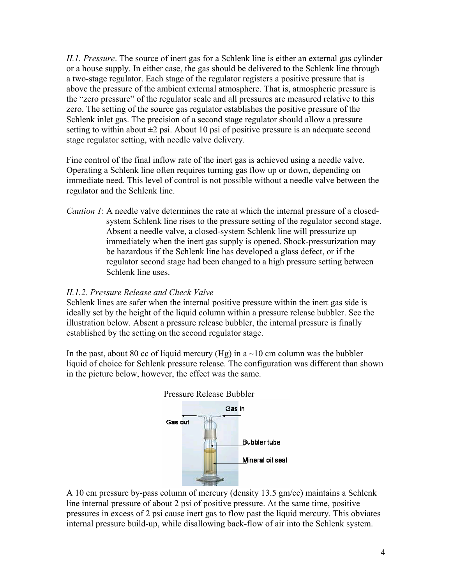*II.1. Pressure*. The source of inert gas for a Schlenk line is either an external gas cylinder or a house supply. In either case, the gas should be delivered to the Schlenk line through a two-stage regulator. Each stage of the regulator registers a positive pressure that is above the pressure of the ambient external atmosphere. That is, atmospheric pressure is the "zero pressure" of the regulator scale and all pressures are measured relative to this zero. The setting of the source gas regulator establishes the positive pressure of the Schlenk inlet gas. The precision of a second stage regulator should allow a pressure setting to within about  $\pm 2$  psi. About 10 psi of positive pressure is an adequate second stage regulator setting, with needle valve delivery.

Fine control of the final inflow rate of the inert gas is achieved using a needle valve. Operating a Schlenk line often requires turning gas flow up or down, depending on immediate need. This level of control is not possible without a needle valve between the regulator and the Schlenk line.

*Caution 1*: A needle valve determines the rate at which the internal pressure of a closedsystem Schlenk line rises to the pressure setting of the regulator second stage. Absent a needle valve, a closed-system Schlenk line will pressurize up immediately when the inert gas supply is opened. Shock-pressurization may be hazardous if the Schlenk line has developed a glass defect, or if the regulator second stage had been changed to a high pressure setting between Schlenk line uses.

## *II.1.2. Pressure Release and Check Valve*

Schlenk lines are safer when the internal positive pressure within the inert gas side is ideally set by the height of the liquid column within a pressure release bubbler. See the illustration below. Absent a pressure release bubbler, the internal pressure is finally established by the setting on the second regulator stage.

In the past, about 80 cc of liquid mercury (Hg) in a  $\sim$ 10 cm column was the bubbler liquid of choice for Schlenk pressure release. The configuration was different than shown in the picture below, however, the effect was the same.





A 10 cm pressure by-pass column of mercury (density 13.5 gm/cc) maintains a Schlenk line internal pressure of about 2 psi of positive pressure. At the same time, positive pressures in excess of 2 psi cause inert gas to flow past the liquid mercury. This obviates internal pressure build-up, while disallowing back-flow of air into the Schlenk system.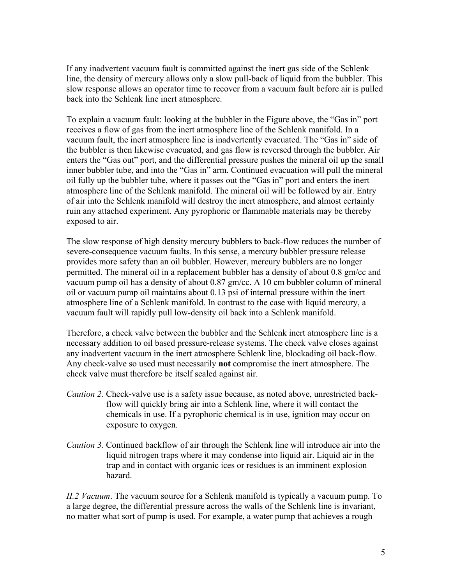If any inadvertent vacuum fault is committed against the inert gas side of the Schlenk line, the density of mercury allows only a slow pull-back of liquid from the bubbler. This slow response allows an operator time to recover from a vacuum fault before air is pulled back into the Schlenk line inert atmosphere.

To explain a vacuum fault: looking at the bubbler in the Figure above, the "Gas in" port receives a flow of gas from the inert atmosphere line of the Schlenk manifold. In a vacuum fault, the inert atmosphere line is inadvertently evacuated. The "Gas in" side of the bubbler is then likewise evacuated, and gas flow is reversed through the bubbler. Air enters the "Gas out" port, and the differential pressure pushes the mineral oil up the small inner bubbler tube, and into the "Gas in" arm. Continued evacuation will pull the mineral oil fully up the bubbler tube, where it passes out the "Gas in" port and enters the inert atmosphere line of the Schlenk manifold. The mineral oil will be followed by air. Entry of air into the Schlenk manifold will destroy the inert atmosphere, and almost certainly ruin any attached experiment. Any pyrophoric or flammable materials may be thereby exposed to air.

The slow response of high density mercury bubblers to back-flow reduces the number of severe-consequence vacuum faults. In this sense, a mercury bubbler pressure release provides more safety than an oil bubbler. However, mercury bubblers are no longer permitted. The mineral oil in a replacement bubbler has a density of about 0.8 gm/cc and vacuum pump oil has a density of about 0.87 gm/cc. A 10 cm bubbler column of mineral oil or vacuum pump oil maintains about 0.13 psi of internal pressure within the inert atmosphere line of a Schlenk manifold. In contrast to the case with liquid mercury, a vacuum fault will rapidly pull low-density oil back into a Schlenk manifold.

Therefore, a check valve between the bubbler and the Schlenk inert atmosphere line is a necessary addition to oil based pressure-release systems. The check valve closes against any inadvertent vacuum in the inert atmosphere Schlenk line, blockading oil back-flow. Any check-valve so used must necessarily **not** compromise the inert atmosphere. The check valve must therefore be itself sealed against air.

- *Caution 2*. Check-valve use is a safety issue because, as noted above, unrestricted backflow will quickly bring air into a Schlenk line, where it will contact the chemicals in use. If a pyrophoric chemical is in use, ignition may occur on exposure to oxygen.
- *Caution 3*. Continued backflow of air through the Schlenk line will introduce air into the liquid nitrogen traps where it may condense into liquid air. Liquid air in the trap and in contact with organic ices or residues is an imminent explosion hazard.

*II.2 Vacuum*. The vacuum source for a Schlenk manifold is typically a vacuum pump. To a large degree, the differential pressure across the walls of the Schlenk line is invariant, no matter what sort of pump is used. For example, a water pump that achieves a rough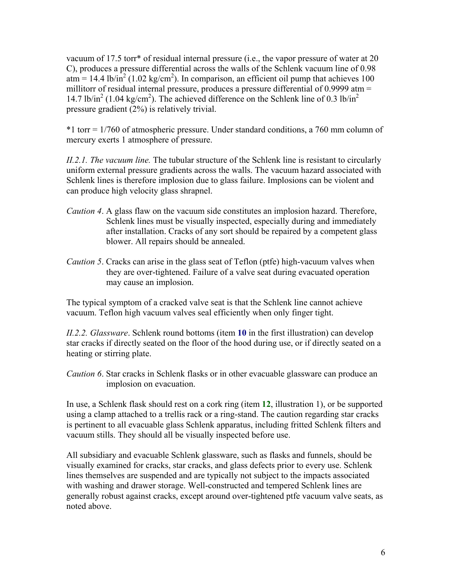vacuum of 17.5 torr\* of residual internal pressure (i.e., the vapor pressure of water at 20 C), produces a pressure differential across the walls of the Schlenk vacuum line of 0.98  $\text{atm} = 14.4 \text{ lb/in}^2 (1.02 \text{ kg/cm}^2)$ . In comparison, an efficient oil pump that achieves 100 millitorr of residual internal pressure, produces a pressure differential of 0.9999 atm = 14.7 lb/in<sup>2</sup> (1.04 kg/cm<sup>2</sup>). The achieved difference on the Schlenk line of 0.3 lb/in<sup>2</sup> pressure gradient (2%) is relatively trivial.

\*1 torr = 1/760 of atmospheric pressure. Under standard conditions, a 760 mm column of mercury exerts 1 atmosphere of pressure.

*II.2.1. The vacuum line.* The tubular structure of the Schlenk line is resistant to circularly uniform external pressure gradients across the walls. The vacuum hazard associated with Schlenk lines is therefore implosion due to glass failure. Implosions can be violent and can produce high velocity glass shrapnel.

- *Caution 4*. A glass flaw on the vacuum side constitutes an implosion hazard. Therefore, Schlenk lines must be visually inspected, especially during and immediately after installation. Cracks of any sort should be repaired by a competent glass blower. All repairs should be annealed.
- *Caution 5*. Cracks can arise in the glass seat of Teflon (ptfe) high-vacuum valves when they are over-tightened. Failure of a valve seat during evacuated operation may cause an implosion.

The typical symptom of a cracked valve seat is that the Schlenk line cannot achieve vacuum. Teflon high vacuum valves seal efficiently when only finger tight.

*II.2.2. Glassware*. Schlenk round bottoms (item **10** in the first illustration) can develop star cracks if directly seated on the floor of the hood during use, or if directly seated on a heating or stirring plate.

*Caution 6*. Star cracks in Schlenk flasks or in other evacuable glassware can produce an implosion on evacuation.

In use, a Schlenk flask should rest on a cork ring (item **12**, illustration 1), or be supported using a clamp attached to a trellis rack or a ring-stand. The caution regarding star cracks is pertinent to all evacuable glass Schlenk apparatus, including fritted Schlenk filters and vacuum stills. They should all be visually inspected before use.

All subsidiary and evacuable Schlenk glassware, such as flasks and funnels, should be visually examined for cracks, star cracks, and glass defects prior to every use. Schlenk lines themselves are suspended and are typically not subject to the impacts associated with washing and drawer storage. Well-constructed and tempered Schlenk lines are generally robust against cracks, except around over-tightened ptfe vacuum valve seats, as noted above.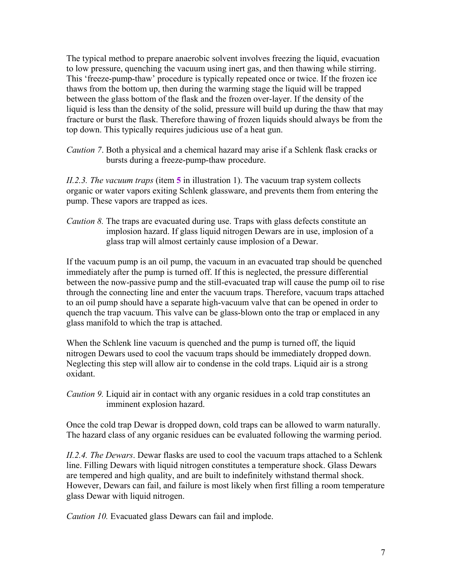The typical method to prepare anaerobic solvent involves freezing the liquid, evacuation to low pressure, quenching the vacuum using inert gas, and then thawing while stirring. This 'freeze-pump-thaw' procedure is typically repeated once or twice. If the frozen ice thaws from the bottom up, then during the warming stage the liquid will be trapped between the glass bottom of the flask and the frozen over-layer. If the density of the liquid is less than the density of the solid, pressure will build up during the thaw that may fracture or burst the flask. Therefore thawing of frozen liquids should always be from the top down. This typically requires judicious use of a heat gun.

*Caution 7*. Both a physical and a chemical hazard may arise if a Schlenk flask cracks or bursts during a freeze-pump-thaw procedure.

*II.2.3. The vacuum traps* (item **5** in illustration 1). The vacuum trap system collects organic or water vapors exiting Schlenk glassware, and prevents them from entering the pump. These vapors are trapped as ices.

*Caution 8.* The traps are evacuated during use. Traps with glass defects constitute an implosion hazard. If glass liquid nitrogen Dewars are in use, implosion of a glass trap will almost certainly cause implosion of a Dewar.

If the vacuum pump is an oil pump, the vacuum in an evacuated trap should be quenched immediately after the pump is turned off. If this is neglected, the pressure differential between the now-passive pump and the still-evacuated trap will cause the pump oil to rise through the connecting line and enter the vacuum traps. Therefore, vacuum traps attached to an oil pump should have a separate high-vacuum valve that can be opened in order to quench the trap vacuum. This valve can be glass-blown onto the trap or emplaced in any glass manifold to which the trap is attached.

When the Schlenk line vacuum is quenched and the pump is turned off, the liquid nitrogen Dewars used to cool the vacuum traps should be immediately dropped down. Neglecting this step will allow air to condense in the cold traps. Liquid air is a strong oxidant.

*Caution 9.* Liquid air in contact with any organic residues in a cold trap constitutes an imminent explosion hazard.

Once the cold trap Dewar is dropped down, cold traps can be allowed to warm naturally. The hazard class of any organic residues can be evaluated following the warming period.

*II.2.4. The Dewars*. Dewar flasks are used to cool the vacuum traps attached to a Schlenk line. Filling Dewars with liquid nitrogen constitutes a temperature shock. Glass Dewars are tempered and high quality, and are built to indefinitely withstand thermal shock. However, Dewars can fail, and failure is most likely when first filling a room temperature glass Dewar with liquid nitrogen.

*Caution 10.* Evacuated glass Dewars can fail and implode.